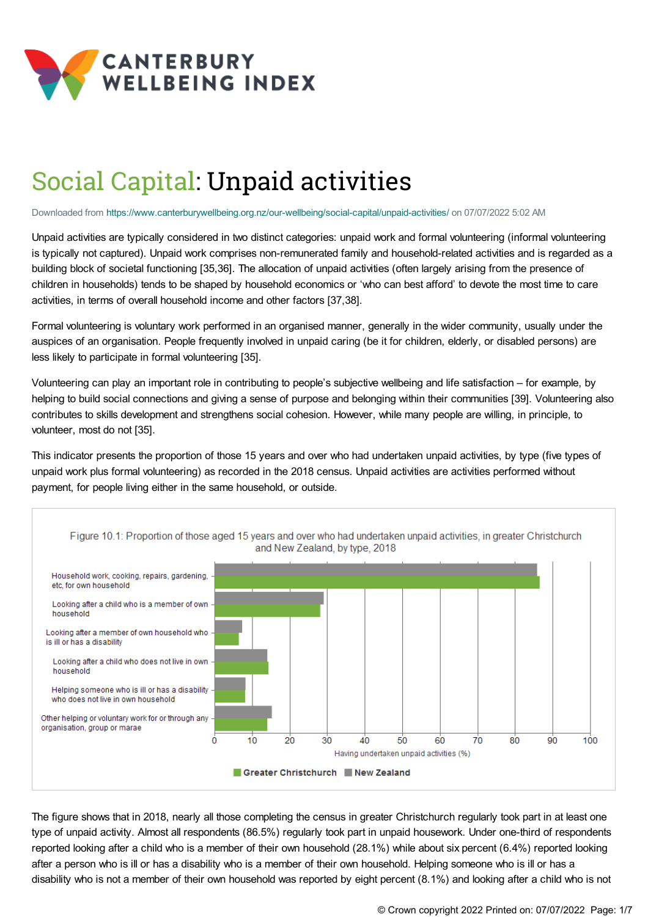

# Social Capital: Unpaid activities

Downloaded from <https://www.canterburywellbeing.org.nz/our-wellbeing/social-capital/unpaid-activities/> on 07/07/2022 5:02 AM

Unpaid activities are typically considered in two distinct categories: unpaid work and formal volunteering (informal volunteering is typically not captured). Unpaid work comprises non-remunerated family and household-related activities and is regarded as a building block of societal functioning [35,36]. The allocation of unpaid activities (often largely arising from the presence of children in households) tends to be shaped by household economics or 'who can best afford' to devote the most time to care activities, in terms of overall household income and other factors [37,38].

Formal volunteering is voluntary work performed in an organised manner, generally in the wider community, usually under the auspices of an organisation. People frequently involved in unpaid caring (be it for children, elderly, or disabled persons) are less likely to participate in formal volunteering [35].

Volunteering can play an important role in contributing to people's subjective wellbeing and life satisfaction – for example, by helping to build social connections and giving a sense of purpose and belonging within their communities [39]. Volunteering also contributes to skills development and strengthens social cohesion. However, while many people are willing, in principle, to volunteer, most do not [35].

This indicator presents the proportion of those 15 years and over who had undertaken unpaid activities, by type (five types of unpaid work plus formal volunteering) as recorded in the 2018 census. Unpaid activities are activities performed without payment, for people living either in the same household, or outside.



The figure shows that in 2018, nearly all those completing the census in greater Christchurch regularly took part in at least one type of unpaid activity. Almost all respondents (86.5%) regularly took part in unpaid housework. Under one-third of respondents reported looking after a child who is a member of their own household (28.1%) while about six percent (6.4%) reported looking after a person who is ill or has a disability who is a member of their own household. Helping someone who is ill or has a disability who is not a member of their own household was reported by eight percent (8.1%) and looking after a child who is not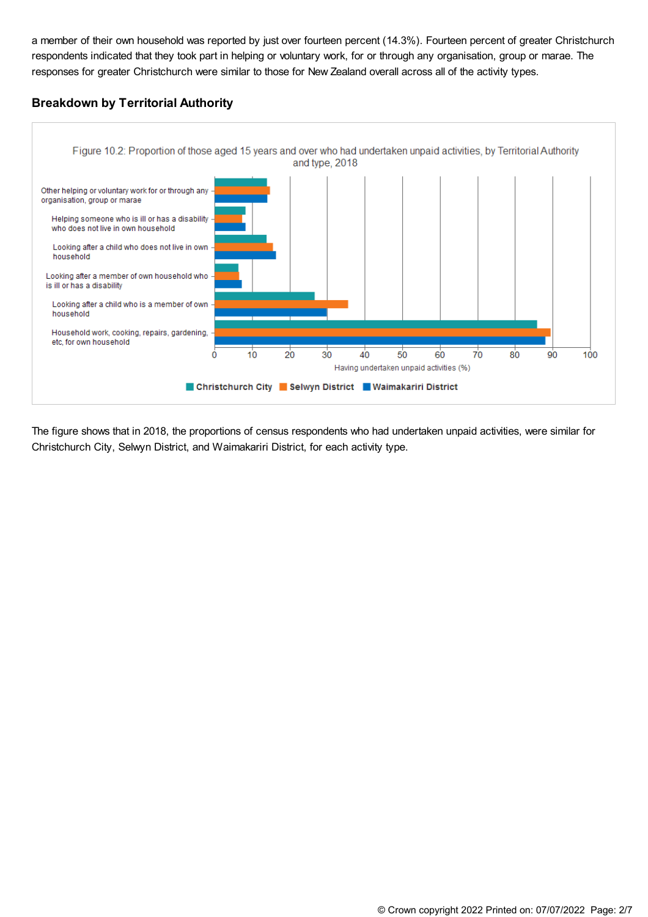a member of their own household was reported by just over fourteen percent (14.3%). Fourteen percent of greater Christchurch respondents indicated that they took part in helping or voluntary work, for or through any organisation, group or marae. The responses for greater Christchurch were similar to those for New Zealand overall across all of the activity types.

# **Breakdown by Territorial Authority**



The figure shows that in 2018, the proportions of census respondents who had undertaken unpaid activities, were similar for Christchurch City, Selwyn District, and Waimakariri District, for each activity type.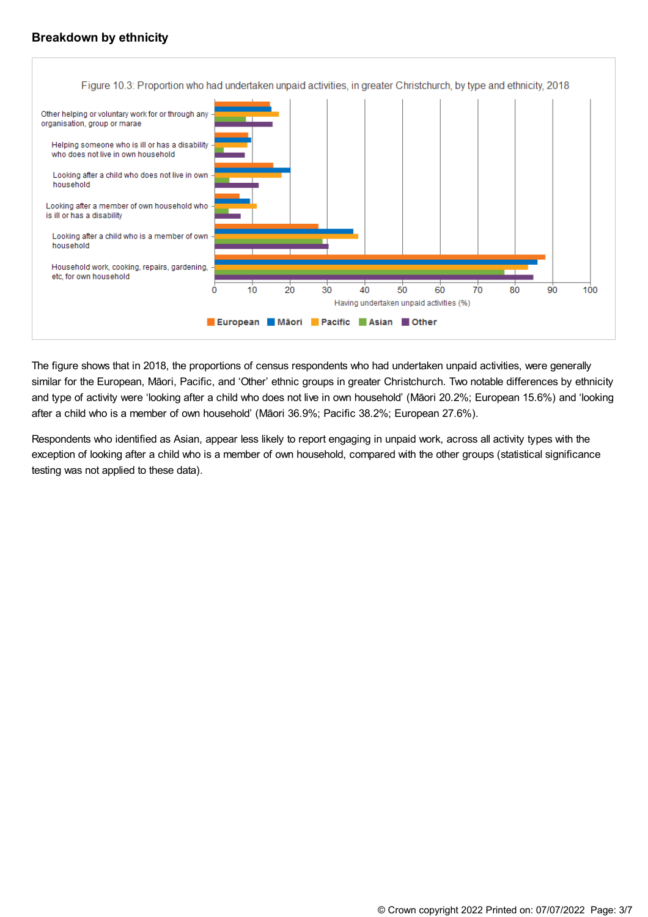# **Breakdown by ethnicity**



The figure shows that in 2018, the proportions of census respondents who had undertaken unpaid activities, were generally similar for the European, Māori, Pacific, and 'Other' ethnic groups in greater Christchurch. Two notable differences by ethnicity and type of activity were 'looking after a child who does not live in own household' (Māori 20.2%; European 15.6%) and 'looking after a child who is a member of own household' (Māori 36.9%; Pacific 38.2%; European 27.6%).

Respondents who identified as Asian, appear less likely to report engaging in unpaid work, across all activity types with the exception of looking after a child who is a member of own household, compared with the other groups (statistical significance testing was not applied to these data).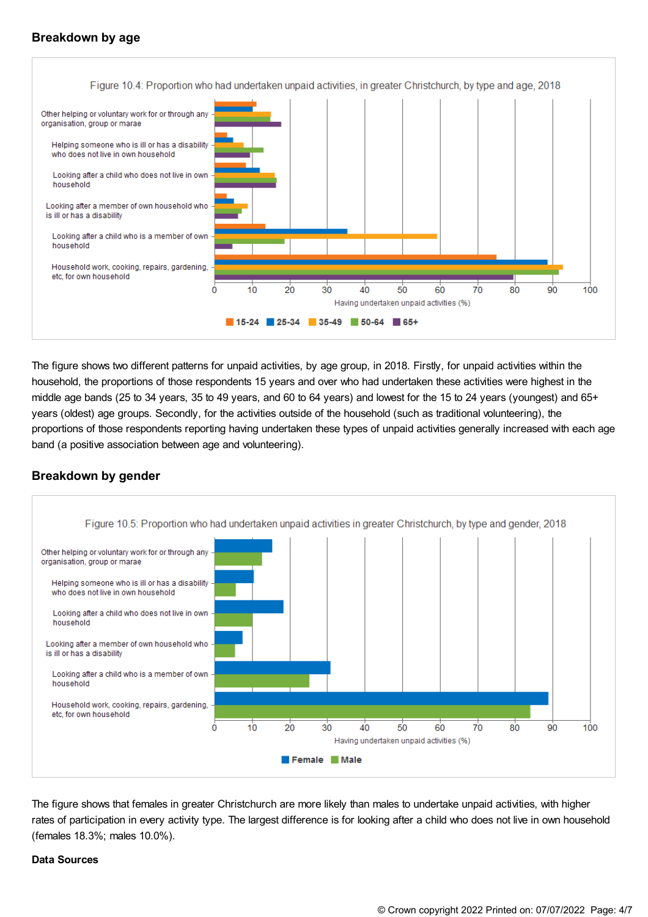# **Breakdown by age**



The figure shows two different patterns for unpaid activities, by age group, in 2018. Firstly, for unpaid activities within the household, the proportions of those respondents 15 years and over who had undertaken these activities were highest in the middle age bands (25 to 34 years, 35 to 49 years, and 60 to 64 years) and lowest for the 15 to 24 years (youngest) and 65+ years (oldest) age groups. Secondly, for the activities outside of the household (such as traditional volunteering), the proportions of those respondents reporting having undertaken these types of unpaid activities generally increased with each age band (a positive association between age and volunteering).

## **Breakdown by gender**



The figure shows that females in greater Christchurch are more likely than males to undertake unpaid activities, with higher rates of participation in every activity type. The largest difference is for looking after a child who does not live in own household (females 18.3%; males 10.0%).

## **Data Sources**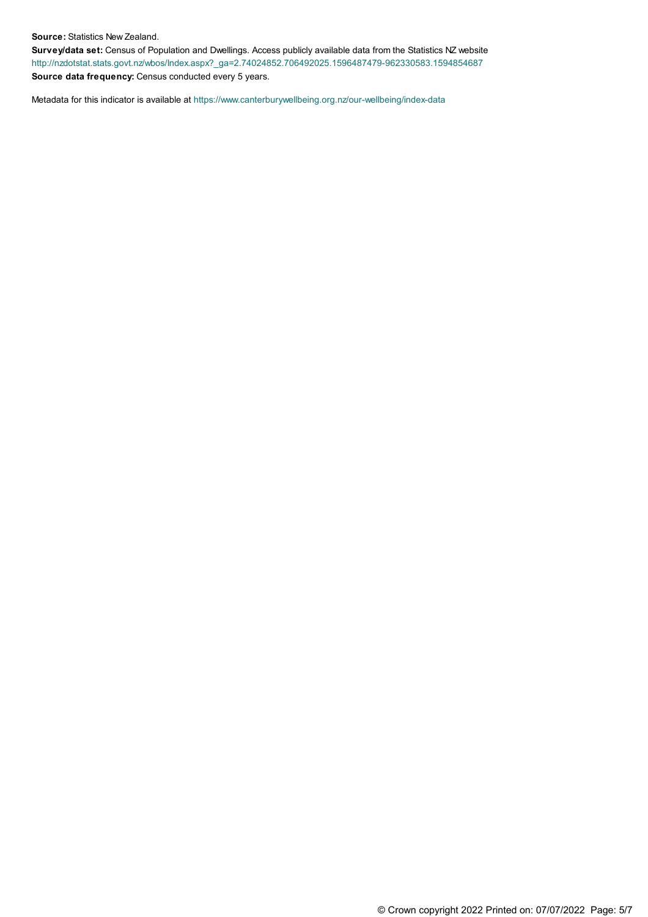#### **Source:** Statistics New Zealand.

**Survey/data set:** Census of Population and Dwellings. Access publicly available data from the Statistics NZ website [http://nzdotstat.stats.govt.nz/wbos/Index.aspx?\\_ga=2.74024852.706492025.1596487479-962330583.1594854687](http://nzdotstat.stats.govt.nz/wbos/Index.aspx?_ga=2.74024852.706492025.1596487479-962330583.1594854687) **Source data frequency:** Census conducted every 5 years.

Metadata for this indicator is available at [https://www.canterburywellbeing.org.nz/our-wellbeing/index-data](https://www.canterburywellbeing.org.nz/our-wellbeing/site-information/index-data)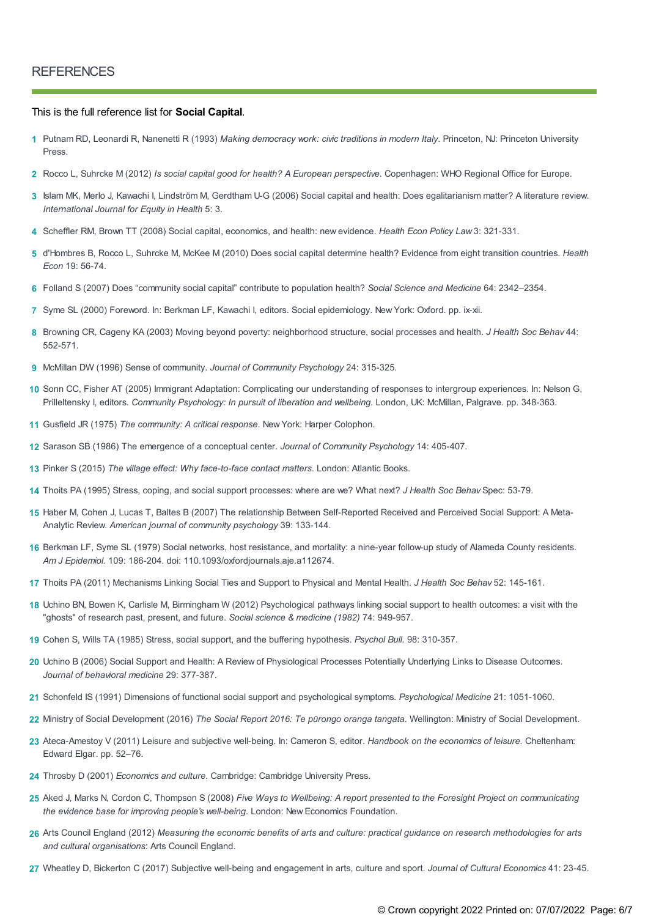### This is the full reference list for **Social Capital**.

- Putnam RD, Leonardi R, Nanenetti R (1993) *Making democracy work: civic traditions in modern Italy*. Princeton, NJ: Princeton University **1** Press.
- **2** Rocco L, Suhrcke M (2012) *Is social capital good for health? A European perspective*. Copenhagen: WHO Regional Office for Europe.
- Islam MK, Merlo J, Kawachi I, Lindström M, Gerdtham U-G (2006) Social capital and health: Does egalitarianism matter? A literature review. **3** *International Journal for Equity in Health* 5: 3.
- **4** Scheffler RM, Brown TT (2008) Social capital, economics, and health: new evidence. *Health Econ Policy Law* 3: 321-331.
- d'Hombres B, Rocco L, Suhrcke M, McKee M (2010) Does social capital determine health? Evidence from eight transition countries. *Health* **5** *Econ* 19: 56-74.
- **6** Folland S (2007) Does "community social capital" contribute to population health? *Social Science and Medicine* 64: 2342–2354.
- **7** Syme SL (2000) Foreword. In: Berkman LF, Kawachi I, editors. Social epidemiology. New York: Oxford. pp. ix-xii.
- Browning CR, Cageny KA (2003) Moving beyond poverty: neighborhood structure, social processes and health. *J Health Soc Behav* 44: **8** 552-571.
- **9** McMillan DW (1996) Sense of community. *Journal of Community Psychology* 24: 315-325.
- 10 Sonn CC, Fisher AT (2005) Immigrant Adaptation: Complicating our understanding of responses to intergroup experiences. In: Nelson G, Prilleltensky I, editors. *Community Psychology: In pursuit of liberation and wellbeing.* London, UK: McMillan, Palgrave. pp. 348-363.
- **11** Gusfield JR (1975) *The community: A critical response*. New York: Harper Colophon.
- **12** Sarason SB (1986) The emergence of a conceptual center. *Journal of Community Psychology* 14: 405-407.
- **13** Pinker S (2015) *The village effect: Why face-to-face contact matters*. London: Atlantic Books.
- **14** Thoits PA (1995) Stress, coping, and social support processes: where are we? What next? *J Health Soc Behav* Spec: 53-79.
- 15 Haber M, Cohen J, Lucas T, Baltes B (2007) The relationship Between Self-Reported Received and Perceived Social Support: A Meta-Analytic Review. *American journal of community psychology* 39: 133-144.
- 16 Berkman LF, Syme SL (1979) Social networks, host resistance, and mortality: a nine-year follow-up study of Alameda County residents. *Am J Epidemiol.* 109: 186-204. doi: 110.1093/oxfordjournals.aje.a112674.
- **17** Thoits PA (2011) Mechanisms Linking Social Ties and Support to Physical and Mental Health. *J Health Soc Behav* 52: 145-161.
- 18 Uchino BN, Bowen K, Carlisle M, Birmingham W (2012) Psychological pathways linking social support to health outcomes: a visit with the "ghosts" of research past, present, and future. *Social science & medicine (1982)* 74: 949-957.
- **19** Cohen S, Wills TA (1985) Stress, social support, and the buffering hypothesis. *Psychol Bull.* 98: 310-357.
- Uchino B (2006) Social Support and Health: A Review of Physiological Processes Potentially Underlying Links to Disease Outcomes. **20** *Journal of behavioral medicine* 29: 377-387.
- **21** Schonfeld IS (1991) Dimensions of functional social support and psychological symptoms. *Psychological Medicine* 21: 1051-1060.
- **22** Ministry of Social Development (2016) *The Social Report 2016: Te pūrongo oranga tangata*. Wellington: Ministry of Social Development.
- Ateca-Amestoy V (2011) Leisure and subjective well-being. In: Cameron S, editor. *Handbook on the economics of leisure.* Cheltenham: **23** Edward Elgar. pp. 52–76.
- **24** Throsby D (2001) *Economics and culture.* Cambridge: Cambridge University Press.
- 25 Aked J, Marks N, Cordon C, Thompson S (2008) Five Ways to Wellbeing: A report presented to the Foresight Project on communicating *the evidence base for improving people's well-being*. London: New Economics Foundation.
- 26 Arts Council England (2012) Measuring the economic benefits of arts and culture: practical guidance on research methodologies for arts *and cultural organisations*: Arts Council England.
- **27** Wheatley D, Bickerton C (2017) Subjective well-being and engagement in arts, culture and sport. *Journal of Cultural Economics* 41: 23-45.